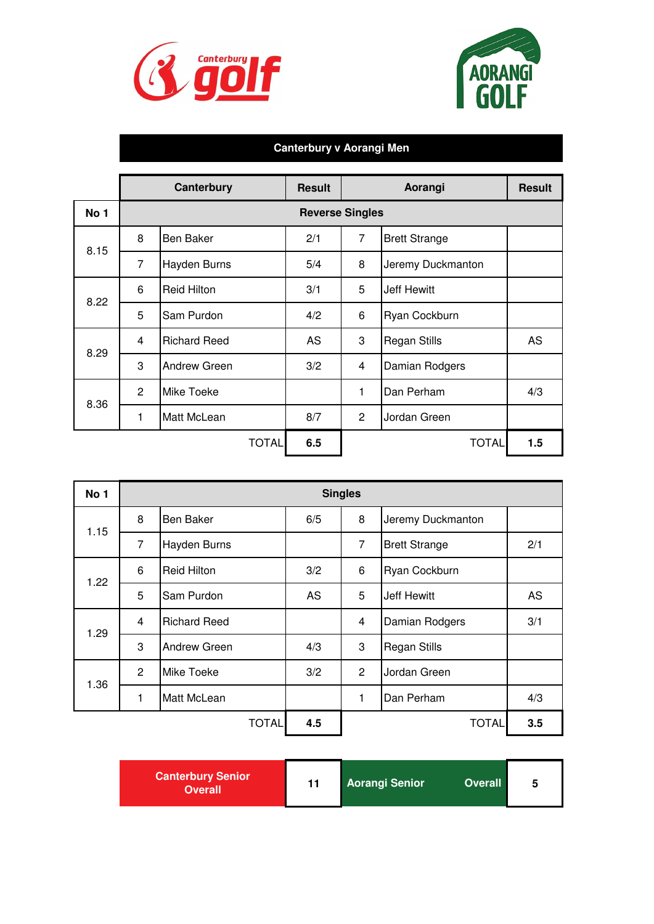|      |                | <b>Canterbury</b>   | <b>Result</b>          |                                  | Aorangi              |     |
|------|----------------|---------------------|------------------------|----------------------------------|----------------------|-----|
| No 1 |                |                     | <b>Reverse Singles</b> |                                  |                      |     |
| 8.15 | 8              | <b>Ben Baker</b>    | 2/1                    | $\overline{7}$                   | <b>Brett Strange</b> |     |
|      | $\overline{7}$ | <b>Hayden Burns</b> | 5/4                    | 8                                | Jeremy Duckmanton    |     |
| 8.22 | 6              | <b>Reid Hilton</b>  | 3/1                    | 5                                | <b>Jeff Hewitt</b>   |     |
|      | 5              | Sam Purdon          | 4/2                    | 6                                | Ryan Cockburn        |     |
| 8.29 | $\overline{4}$ | <b>Richard Reed</b> | <b>AS</b>              | 3                                | <b>Regan Stills</b>  |     |
|      | 3              | <b>Andrew Green</b> | 3/2                    | $\overline{4}$<br>Damian Rodgers |                      |     |
| 8.36 | 2              | <b>Mike Toeke</b>   |                        | Dan Perham<br>1                  |                      | 4/3 |
|      | 1              | <b>Matt McLean</b>  | 8/7                    | $\overline{2}$                   | Jordan Green         |     |
|      |                | <b>TOTAL</b>        | 6.5                    |                                  | <b>TOTAL</b>         | 1.5 |

| No 1 | <b>Singles</b> |                     |           |                |                             |           |  |
|------|----------------|---------------------|-----------|----------------|-----------------------------|-----------|--|
| 1.15 | 8              | <b>Ben Baker</b>    | 6/5       | 8              | Jeremy Duckmanton           |           |  |
|      | $\overline{7}$ | <b>Hayden Burns</b> |           | $\overline{7}$ | 2/1<br><b>Brett Strange</b> |           |  |
| 1.22 | 6              | <b>Reid Hilton</b>  | 3/2       | 6              | Ryan Cockburn               |           |  |
|      | 5              | Sam Purdon          | <b>AS</b> | 5              | <b>Jeff Hewitt</b>          | <b>AS</b> |  |
| 1.29 | $\overline{4}$ | <b>Richard Reed</b> |           | $\overline{4}$ | 3/1<br>Damian Rodgers       |           |  |
|      | 3              | <b>Andrew Green</b> | 4/3       | 3              | <b>Regan Stills</b>         |           |  |
| 1.36 | 2              | Mike Toeke          | 3/2       | $\overline{2}$ | Jordan Green                |           |  |
|      | 1              | Matt McLean         |           | 1.             | <b>IDan Perham</b>          | 4/3       |  |







## **Canterbury v Aorangi Men**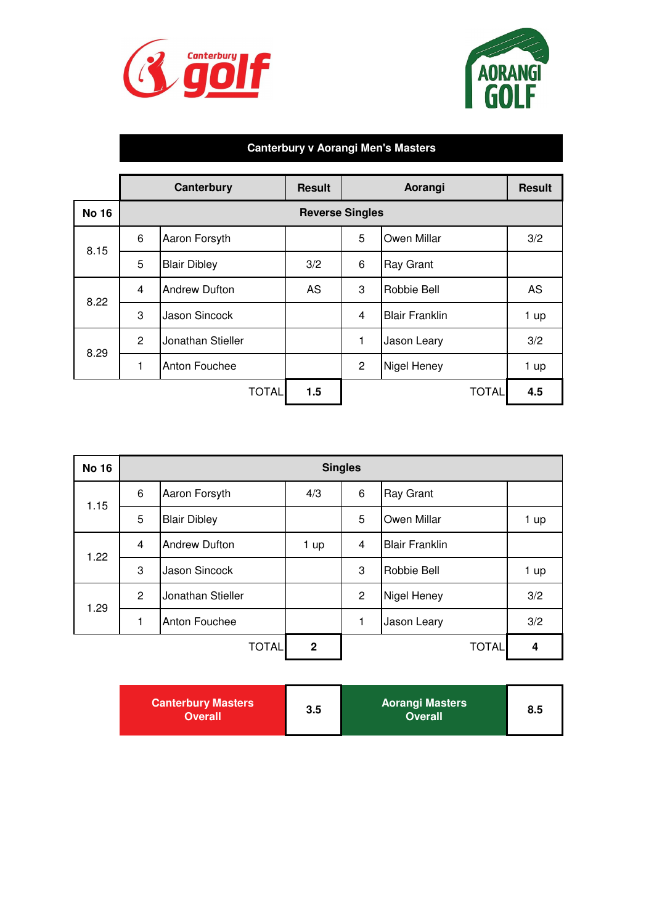|              |                        | <b>Canterbury</b>    | <b>Result</b> |                | Aorangi               | <b>Result</b> |  |
|--------------|------------------------|----------------------|---------------|----------------|-----------------------|---------------|--|
| <b>No 16</b> | <b>Reverse Singles</b> |                      |               |                |                       |               |  |
| 8.15         | 6                      | Aaron Forsyth        |               | 5              | <b>Owen Millar</b>    | 3/2           |  |
|              | 5                      | <b>Blair Dibley</b>  | 3/2           | 6              | <b>Ray Grant</b>      |               |  |
| 8.22         | $\overline{4}$         | <b>Andrew Dufton</b> | <b>AS</b>     | 3              | <b>Robbie Bell</b>    | <b>AS</b>     |  |
|              | 3                      | <b>Jason Sincock</b> |               | $\overline{4}$ | <b>Blair Franklin</b> | 1 up          |  |
| 8.29         | $\overline{2}$         | Jonathan Stieller    |               | $\mathbf{1}$   | <b>Jason Leary</b>    | 3/2           |  |
|              | 1                      | <b>Anton Fouchee</b> |               | $\overline{2}$ | Nigel Heney           | 1 up          |  |
|              |                        | <b>TOTAL</b>         | 1.5           |                | <b>TOTAL</b>          | 4.5           |  |

| <b>No 16</b> | <b>Singles</b> |                      |                |                |                       |                         |
|--------------|----------------|----------------------|----------------|----------------|-----------------------|-------------------------|
|              | 6              | Aaron Forsyth        | 4/3            | 6              | <b>Ray Grant</b>      |                         |
| 1.15         | 5              | <b>Blair Dibley</b>  |                | 5              | <b>Owen Millar</b>    | 1 up                    |
| 1.22         | $\overline{4}$ | <b>Andrew Dufton</b> | 1 up           | $\overline{4}$ | <b>Blair Franklin</b> |                         |
|              | 3              | <b>Jason Sincock</b> |                | 3              | Robbie Bell           | 1 up                    |
| 1.29         | $\overline{2}$ | Jonathan Stieller    |                | 2              | Nigel Heney           | 3/2                     |
|              | 1              | <b>Anton Fouchee</b> |                | 1              | Jason Leary           | 3/2                     |
|              |                | <b>TOTAL</b>         | $\overline{2}$ |                | <b>TOTAL</b>          | $\overline{\mathbf{4}}$ |





## **Canterbury v Aorangi Men's Masters**

| 3.5<br>8.5<br><b>Overall</b><br><b>Overall</b> | <b>Canterbury Masters</b> |  | <b>Aorangi Masters</b> |  |
|------------------------------------------------|---------------------------|--|------------------------|--|
|------------------------------------------------|---------------------------|--|------------------------|--|